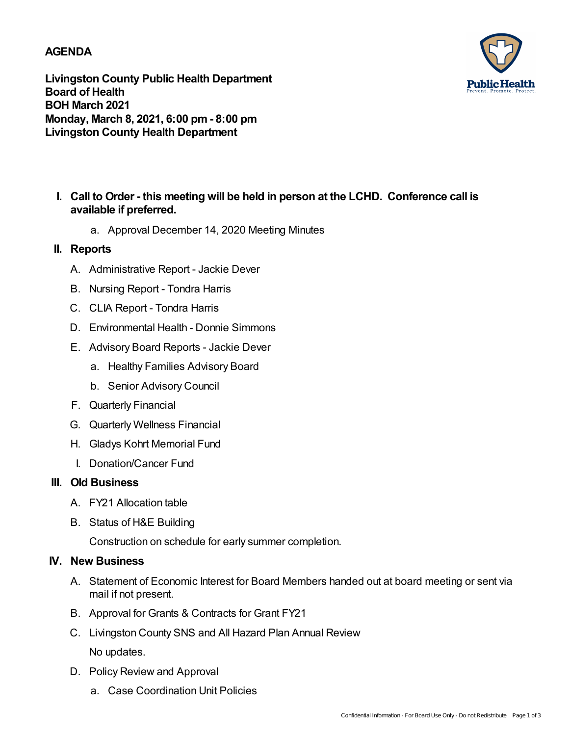## **AGENDA**



**Livingston County Public Health Department Board of Health BOH March 2021 Monday, March 8, 2021, 6:00 pm- 8:00 pm Livingston County Health Department**

- **Call to Order - this meeting will be held in person at the LCHD. Conference call is I. available if preferred.**
	- a. Approval December 14, 2020 Meeting Minutes

## **II. Reports**

- A. Administrative Report Jackie Dever
- B. Nursing Report Tondra Harris
- C. CLIA Report Tondra Harris
- D. Environmental Health Donnie Simmons
- E. Advisory Board Reports Jackie Dever
	- a. Healthy Families Advisory Board
	- b. Senior Advisory Council
- F. Quarterly Financial
- G. Quarterly Wellness Financial
- H. Gladys Kohrt Memorial Fund
- I. Donation/Cancer Fund

## **III. Old Business**

- A. FY21 Allocation table
- B. Status of H&E Building

Construction on schedule for early summer completion.

## **IV. New Business**

- A. Statement of Economic Interest for Board Members handed out at board meeting or sent via mail if not present.
- B. Approval for Grants & Contracts for Grant FY21
- C. Livingston County SNS and All Hazard Plan Annual Review No updates.
- D. Policy Review and Approval
	- a. Case Coordination Unit Policies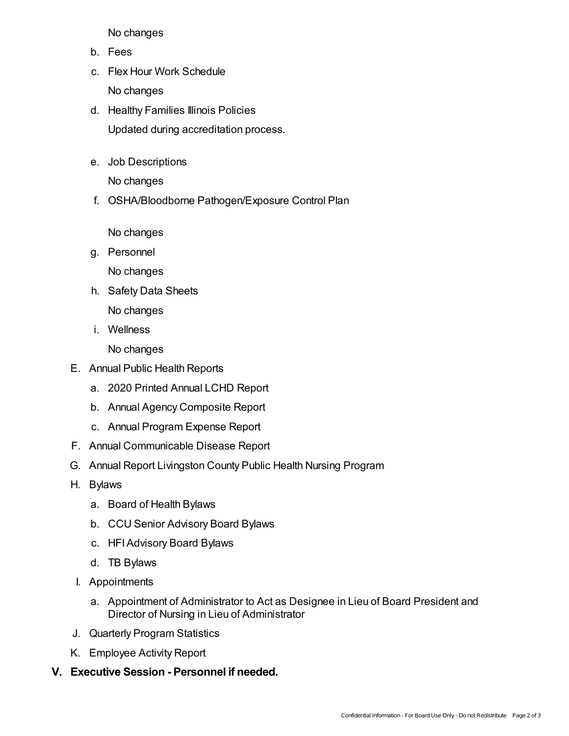No changes

- b. Fees
- c. Flex Hour Work Schedule No changes
- d. Healthy Families Illinois Policies Updated during accreditation process.
- e. Job Descriptions

No changes

f. OSHA/Bloodborne Pathogen/Exposure Control Plan

No changes

g. Personnel

No changes

- h. Safety Data Sheets No changes
- i. Wellness

No changes

- E. Annual Public Health Reports
	- a. 2020 Printed Annual LCHD Report
	- b. Annual Agency Composite Report
	- c. Annual Program Expense Report
- F. Annual Communicable Disease Report
- G. Annual Report Livingston County Public Health Nursing Program
- H. Bylaws
	- a. Board of Health Bylaws
	- b. CCU Senior Advisory Board Bylaws
	- c. HFIAdvisory Board Bylaws
	- d. TB Bylaws
- I. Appointments
	- a. Appointment of Administrator to Act as Designee in Lieu of Board President and Director of Nursing in Lieu of Administrator
- J. Quarterly Program Statistics
- K. Employee Activity Report
- **V. Executive Session - Personnel if needed.**